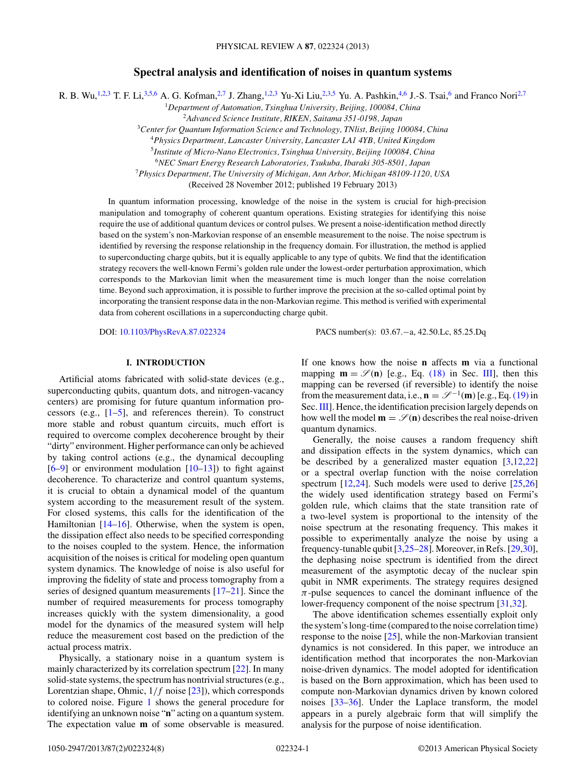# **Spectral analysis and identification of noises in quantum systems**

R. B. Wu,<sup>1,2,3</sup> T. F. Li,<sup>3,5,6</sup> A. G. Kofman,<sup>2,7</sup> J. Zhang,<sup>1,2,3</sup> Yu-Xi Liu,<sup>2,3,5</sup> Yu. A. Pashkin,<sup>4,6</sup> J.-S. Tsai,<sup>6</sup> and Franco Nori<sup>2,7</sup>

<sup>1</sup>*Department of Automation, Tsinghua University, Beijing, 100084, China*

<sup>2</sup>*Advanced Science Institute, RIKEN, Saitama 351-0198, Japan* <sup>3</sup>*Center for Quantum Information Science and Technology, TNlist, Beijing 100084, China*

<sup>4</sup>*Physics Department, Lancaster University, Lancaster LA1 4YB, United Kingdom*

<sup>5</sup>*Institute of Micro-Nano Electronics, Tsinghua University, Beijing 100084, China*

<sup>6</sup>*NEC Smart Energy Research Laboratories, Tsukuba, Ibaraki 305-8501, Japan*

<sup>7</sup>*Physics Department, The University of Michigan, Ann Arbor, Michigan 48109-1120, USA*

(Received 28 November 2012; published 19 February 2013)

In quantum information processing, knowledge of the noise in the system is crucial for high-precision manipulation and tomography of coherent quantum operations. Existing strategies for identifying this noise require the use of additional quantum devices or control pulses. We present a noise-identification method directly based on the system's non-Markovian response of an ensemble measurement to the noise. The noise spectrum is identified by reversing the response relationship in the frequency domain. For illustration, the method is applied to superconducting charge qubits, but it is equally applicable to any type of qubits. We find that the identification strategy recovers the well-known Fermi's golden rule under the lowest-order perturbation approximation, which corresponds to the Markovian limit when the measurement time is much longer than the noise correlation time. Beyond such approximation, it is possible to further improve the precision at the so-called optimal point by incorporating the transient response data in the non-Markovian regime. This method is verified with experimental data from coherent oscillations in a superconducting charge qubit.

DOI: [10.1103/PhysRevA.87.022324](http://dx.doi.org/10.1103/PhysRevA.87.022324) PACS number(s): 03*.*67*.*−a, 42*.*50*.*Lc, 85*.*25*.*Dq

## **I. INTRODUCTION**

Artificial atoms fabricated with solid-state devices (e.g., superconducting qubits, quantum dots, and nitrogen-vacancy centers) are promising for future quantum information processors (e.g., [\[1–5\]](#page-6-0), and references therein). To construct more stable and robust quantum circuits, much effort is required to overcome complex decoherence brought by their "dirty" environment. Higher performance can only be achieved by taking control actions (e.g., the dynamical decoupling [\[6–9\]](#page-6-0) or environment modulation [\[10–13\]](#page-6-0)) to fight against decoherence. To characterize and control quantum systems, it is crucial to obtain a dynamical model of the quantum system according to the measurement result of the system. For closed systems, this calls for the identification of the Hamiltonian [\[14–16\]](#page-6-0). Otherwise, when the system is open, the dissipation effect also needs to be specified corresponding to the noises coupled to the system. Hence, the information acquisition of the noises is critical for modeling open quantum system dynamics. The knowledge of noise is also useful for improving the fidelity of state and process tomography from a series of designed quantum measurements [\[17–](#page-6-0)[21\]](#page-7-0). Since the number of required measurements for process tomography increases quickly with the system dimensionality, a good model for the dynamics of the measured system will help reduce the measurement cost based on the prediction of the actual process matrix.

Physically, a stationary noise in a quantum system is mainly characterized by its correlation spectrum [\[22\]](#page-7-0). In many solid-state systems, the spectrum has nontrivial structures (e.g., Lorentzian shape, Ohmic, 1*/f* noise [\[23\]](#page-7-0)), which corresponds to colored noise. Figure [1](#page-1-0) shows the general procedure for identifying an unknown noise "**n**" acting on a quantum system. The expectation value **m** of some observable is measured.

If one knows how the noise **n** affects **m** via a functional mapping  $\mathbf{m} = \mathcal{S}(\mathbf{n})$  [e.g., Eq. [\(18\)](#page-3-0) in Sec. [III\]](#page-2-0), then this mapping can be reversed (if reversible) to identify the noise from the measurement data, i.e.,  $\mathbf{n} = \mathcal{S}^{-1}(\mathbf{m})$  [e.g., Eq. [\(19\)](#page-3-0) in Sec. [III\]](#page-2-0). Hence, the identification precision largely depends on how well the model  $\mathbf{m} = \mathscr{S}(\mathbf{n})$  describes the real noise-driven quantum dynamics.

Generally, the noise causes a random frequency shift and dissipation effects in the system dynamics, which can be described by a generalized master equation  $[3,12,22]$  $[3,12,22]$ or a spectral overlap function with the noise correlation spectrum [\[12,](#page-6-0)[24\]](#page-7-0). Such models were used to derive [\[25,26\]](#page-7-0) the widely used identification strategy based on Fermi's golden rule, which claims that the state transition rate of a two-level system is proportional to the intensity of the noise spectrum at the resonating frequency. This makes it possible to experimentally analyze the noise by using a frequency-tunable qubit [\[3](#page-6-0)[,25–28\]](#page-7-0). Moreover, in Refs. [\[29,30\]](#page-7-0), the dephasing noise spectrum is identified from the direct measurement of the asymptotic decay of the nuclear spin qubit in NMR experiments. The strategy requires designed *π*-pulse sequences to cancel the dominant influence of the lower-frequency component of the noise spectrum [\[31,32\]](#page-7-0).

The above identification schemes essentially exploit only the system's long-time (compared to the noise correlation time) response to the noise  $[25]$ , while the non-Markovian transient dynamics is not considered. In this paper, we introduce an identification method that incorporates the non-Markovian noise-driven dynamics. The model adopted for identification is based on the Born approximation, which has been used to compute non-Markovian dynamics driven by known colored noises [\[33–36\]](#page-7-0). Under the Laplace transform, the model appears in a purely algebraic form that will simplify the analysis for the purpose of noise identification.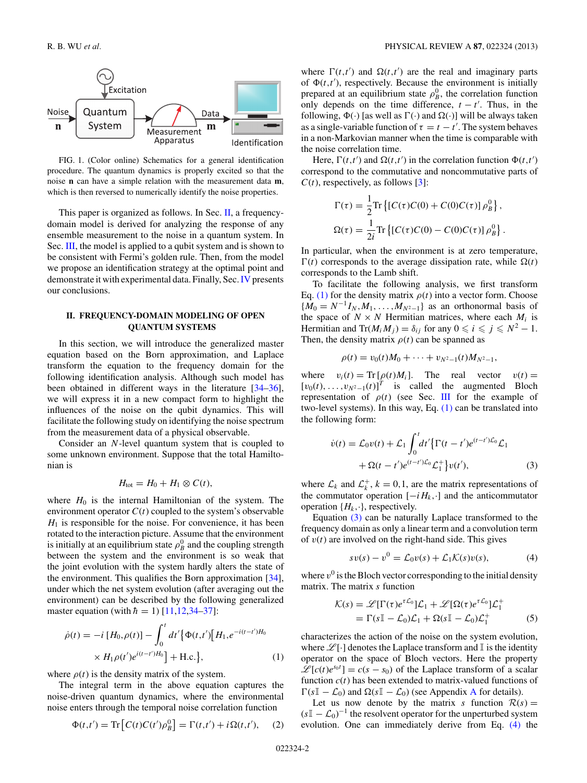<span id="page-1-0"></span>

FIG. 1. (Color online) Schematics for a general identification procedure. The quantum dynamics is properly excited so that the noise **n** can have a simple relation with the measurement data **m**, which is then reversed to numerically identify the noise properties.

This paper is organized as follows. In Sec. II, a frequencydomain model is derived for analyzing the response of any ensemble measurement to the noise in a quantum system. In Sec. [III,](#page-2-0) the model is applied to a qubit system and is shown to be consistent with Fermi's golden rule. Then, from the model we propose an identification strategy at the optimal point and demonstrate it with experimental data. Finally, Sec.[IV](#page-5-0) presents our conclusions.

## **II. FREQUENCY-DOMAIN MODELING OF OPEN QUANTUM SYSTEMS**

In this section, we will introduce the generalized master equation based on the Born approximation, and Laplace transform the equation to the frequency domain for the following identification analysis. Although such model has been obtained in different ways in the literature [\[34–36\]](#page-7-0), we will express it in a new compact form to highlight the influences of the noise on the qubit dynamics. This will facilitate the following study on identifying the noise spectrum from the measurement data of a physical observable.

Consider an *N*-level quantum system that is coupled to some unknown environment. Suppose that the total Hamiltonian is

$$
H_{\text{tot}} = H_0 + H_1 \otimes C(t),
$$

where  $H_0$  is the internal Hamiltonian of the system. The environment operator  $C(t)$  coupled to the system's observable  $H_1$  is responsible for the noise. For convenience, it has been rotated to the interaction picture. Assume that the environment is initially at an equilibrium state  $\rho_B^0$  and the coupling strength between the system and the environment is so weak that the joint evolution with the system hardly alters the state of the environment. This qualifies the Born approximation [\[34\]](#page-7-0), under which the net system evolution (after averaging out the environment) can be described by the following generalized master equation (with  $\hbar = 1$ ) [\[11,12,](#page-6-0)[34–37\]](#page-7-0):

$$
\dot{\rho}(t) = -i [H_0, \rho(t)] - \int_0^t dt' \{ \Phi(t, t') [H_1, e^{-i(t - t')H_0} \times H_1 \rho(t') e^{i(t - t')H_0} ] + \text{H.c.} \},
$$
\n(1)

where  $\rho(t)$  is the density matrix of the system.

The integral term in the above equation captures the noise-driven quantum dynamics, where the environmental noise enters through the temporal noise correlation function

$$
\Phi(t,t') = \text{Tr}\left[C(t)C(t')\rho_B^0\right] = \Gamma(t,t') + i\Omega(t,t'), \quad (2)
$$

where  $\Gamma(t,t')$  and  $\Omega(t,t')$  are the real and imaginary parts of  $\Phi(t,t')$ , respectively. Because the environment is initially prepared at an equilibrium state  $\rho_B^0$ , the correlation function only depends on the time difference,  $t - t'$ . Thus, in the following,  $\Phi(\cdot)$  [as well as  $\Gamma(\cdot)$  and  $\Omega(\cdot)$ ] will be always taken as a single-variable function of  $\tau = t - t'$ . The system behaves in a non-Markovian manner when the time is comparable with the noise correlation time.

Here,  $\Gamma(t, t')$  and  $\Omega(t, t')$  in the correlation function  $\Phi(t, t')$ correspond to the commutative and noncommutative parts of  $C(t)$ , respectively, as follows [\[3\]](#page-6-0):

$$
\Gamma(\tau) = \frac{1}{2} \text{Tr} \left\{ \left[ C(\tau)C(0) + C(0)C(\tau) \right] \rho_B^0 \right\},
$$
  

$$
\Omega(\tau) = \frac{1}{2i} \text{Tr} \left\{ \left[ C(\tau)C(0) - C(0)C(\tau) \right] \rho_B^0 \right\}.
$$

In particular, when the environment is at zero temperature,  $\Gamma(t)$  corresponds to the average dissipation rate, while  $\Omega(t)$ corresponds to the Lamb shift.

To facilitate the following analysis, we first transform Eq. (1) for the density matrix  $\rho(t)$  into a vector form. Choose  ${M_0 = N^{-1}I_N, M_1, \ldots, M_{N^2-1}}$  as an orthonormal basis of the space of  $N \times N$  Hermitian matrices, where each  $M_i$  is Hermitian and  $Tr(M_i M_j) = \delta_{ij}$  for any  $0 \le i \le j \le N^2 - 1$ . Then, the density matrix  $\rho(t)$  can be spanned as

$$
\rho(t) = v_0(t)M_0 + \cdots + v_{N^2-1}(t)M_{N^2-1},
$$

where  $v_i(t) = \text{Tr} [\rho(t)M_i]$ . The real vector  $v(t) =$  $[v_0(t), \ldots, v_{N^2-1}(t)]^T$  is called the augmented Bloch representation of *ρ*(*t*) (see Sec. [III](#page-2-0) for the example of two-level systems). In this way, Eq.  $(1)$  can be translated into the following form:

$$
\dot{v}(t) = \mathcal{L}_0 v(t) + \mathcal{L}_1 \int_0^t dt' \{ \Gamma(t - t') e^{(t - t')\mathcal{L}_0} \mathcal{L}_1 + \Omega(t - t') e^{(t - t')\mathcal{L}_0} \mathcal{L}_1^+ \} v(t'), \tag{3}
$$

where  $\mathcal{L}_k$  and  $\mathcal{L}_k^+$ ,  $k = 0, 1$ , are the matrix representations of the commutator operation  $[-iH_k, \cdot]$  and the anticommutator operation  $\{H_k, \cdot\}$ , respectively.

Equation (3) can be naturally Laplace transformed to the frequency domain as only a linear term and a convolution term of  $v(t)$  are involved on the right-hand side. This gives

$$
sv(s) - v^0 = \mathcal{L}_0 v(s) + \mathcal{L}_1 \mathcal{K}(s) v(s), \tag{4}
$$

where  $v^0$  is the Bloch vector corresponding to the initial density matrix. The matrix *s* function

$$
\mathcal{K}(s) = \mathscr{L}[\Gamma(\tau)e^{\tau \mathcal{L}_0}]\mathcal{L}_1 + \mathscr{L}[\Omega(\tau)e^{\tau \mathcal{L}_0}]\mathcal{L}_1^+
$$
  
=  $\Gamma(s\mathbb{I} - \mathcal{L}_0)\mathcal{L}_1 + \Omega(s\mathbb{I} - \mathcal{L}_0)\mathcal{L}_1^+$  (5)

characterizes the action of the noise on the system evolution, where  $\mathcal{L}[\cdot]$  denotes the Laplace transform and I is the identity operator on the space of Bloch vectors. Here the property  $\mathscr{L}[c(t)e^{s_0t}] = c(s - s_0)$  of the Laplace transform of a scalar function  $c(t)$  has been extended to matrix-valued functions of  $\Gamma(sI\!\!I - \mathcal{L}_0)$  and  $\Omega(sI\!\!I - \mathcal{L}_0)$  (see [A](#page-5-0)ppendix A for details).

Let us now denote by the matrix *s* function  $R(s) =$  $(sI - \mathcal{L}_0)^{-1}$  the resolvent operator for the unperturbed system evolution. One can immediately derive from Eq. (4) the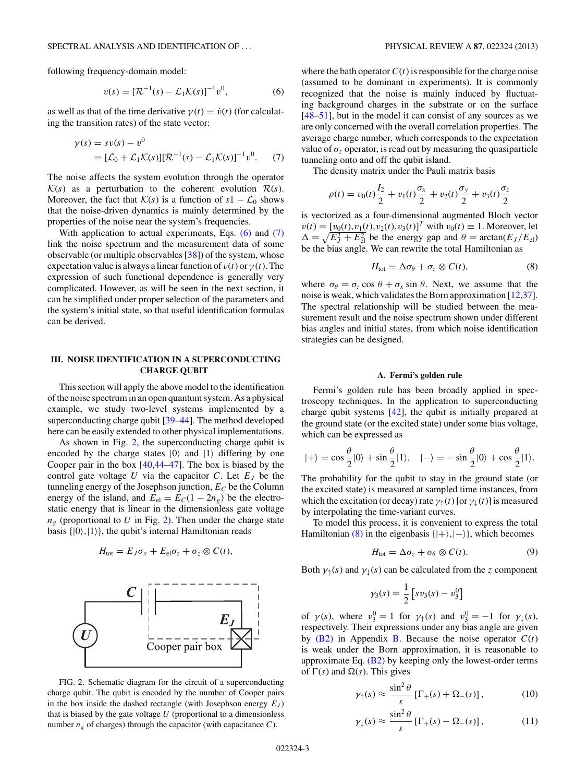$$
v(s) = [\mathcal{R}^{-1}(s) - \mathcal{L}_1 \mathcal{K}(s)]^{-1} v^0, \tag{6}
$$

<span id="page-2-0"></span>as well as that of the time derivative  $\gamma(t) = \dot{v}(t)$  (for calculating the transition rates) of the state vector:

$$
\gamma(s) = sv(s) - v^0
$$
  
=  $[\mathcal{L}_0 + \mathcal{L}_1 \mathcal{K}(s)][\mathcal{R}^{-1}(s) - \mathcal{L}_1 \mathcal{K}(s)]^{-1}v^0.$  (7)

The noise affects the system evolution through the operator  $K(s)$  as a perturbation to the coherent evolution  $R(s)$ . Moreover, the fact that  $\mathcal{K}(s)$  is a function of  $s\mathbb{I} - \mathcal{L}_0$  shows that the noise-driven dynamics is mainly determined by the properties of the noise near the system's frequencies.

With application to actual experiments, Eqs. (6) and (7) link the noise spectrum and the measurement data of some observable (or multiple observables [\[38\]](#page-7-0)) of the system, whose expectation value is always a linear function of  $v(t)$  or  $\gamma(t)$ . The expression of such functional dependence is generally very complicated. However, as will be seen in the next section, it can be simplified under proper selection of the parameters and the system's initial state, so that useful identification formulas can be derived.

# **III. NOISE IDENTIFICATION IN A SUPERCONDUCTING CHARGE QUBIT**

This section will apply the above model to the identification of the noise spectrum in an open quantum system. As a physical example, we study two-level systems implemented by a superconducting charge qubit [\[39–44\]](#page-7-0). The method developed here can be easily extended to other physical implementations.

As shown in Fig. 2, the superconducting charge qubit is encoded by the charge states  $|0\rangle$  and  $|1\rangle$  differing by one Cooper pair in the box [\[40,44–47\]](#page-7-0). The box is biased by the control gate voltage  $U$  via the capacitor  $C$ . Let  $E_J$  be the tunneling energy of the Josephson junction,  $E_C$  be the Column energy of the island, and  $E_{el} = E_C(1 - 2n_g)$  be the electrostatic energy that is linear in the dimensionless gate voltage  $n_g$  (proportional to  $U$  in Fig. 2). Then under the charge state basis  $\{|0\rangle, |1\rangle\}$ , the qubit's internal Hamiltonian reads

$$
H_{\text{tot}} = E_J \sigma_x + E_{\text{el}} \sigma_z + \sigma_z \otimes C(t),
$$



FIG. 2. Schematic diagram for the circuit of a superconducting charge qubit. The qubit is encoded by the number of Cooper pairs in the box inside the dashed rectangle (with Josephson energy  $E_J$ ) that is biased by the gate voltage *U* (proportional to a dimensionless number  $n_g$  of charges) through the capacitor (with capacitance *C*).

where the bath operator  $C(t)$  is responsible for the charge noise (assumed to be dominant in experiments). It is commonly recognized that the noise is mainly induced by fluctuating background charges in the substrate or on the surface [\[48–51\]](#page-7-0), but in the model it can consist of any sources as we are only concerned with the overall correlation properties. The average charge number, which corresponds to the expectation value of  $\sigma_z$  operator, is read out by measuring the quasiparticle tunneling onto and off the qubit island.

The density matrix under the Pauli matrix basis

$$
\rho(t) = v_0(t)\frac{I_2}{2} + v_1(t)\frac{\sigma_x}{2} + v_2(t)\frac{\sigma_y}{2} + v_3(t)\frac{\sigma_z}{2}
$$

is vectorized as a four-dimensional augmented Bloch vector  $v(t) = [v_0(t), v_1(t), v_2(t), v_3(t)]^T$  with  $v_0(t) \equiv 1$ . Moreover, let  $\Delta = \sqrt{E_J^2 + E_{\text{el}}^2}$  be the energy gap and  $\theta = \arctan(E_J/E_{\text{el}})$ be the bias angle. We can rewrite the total Hamiltonian as

$$
H_{\text{tot}} = \Delta \sigma_{\theta} + \sigma_{z} \otimes C(t), \qquad (8)
$$

where  $\sigma_{\theta} = \sigma_z \cos \theta + \sigma_x \sin \theta$ . Next, we assume that the noise is weak, which validates the Born approximation [\[12](#page-6-0)[,37\]](#page-7-0). The spectral relationship will be studied between the measurement result and the noise spectrum shown under different bias angles and initial states, from which noise identification strategies can be designed.

#### **A. Fermi's golden rule**

Fermi's golden rule has been broadly applied in spectroscopy techniques. In the application to superconducting charge qubit systems [\[42\]](#page-7-0), the qubit is initially prepared at the ground state (or the excited state) under some bias voltage, which can be expressed as

$$
|+\rangle=\cos\frac{\theta}{2}|0\rangle+\sin\frac{\theta}{2}|1\rangle, \quad |-\rangle=-\sin\frac{\theta}{2}|0\rangle+\cos\frac{\theta}{2}|1\rangle.
$$

The probability for the qubit to stay in the ground state (or the excited state) is measured at sampled time instances, from which the excitation (or decay) rate  $\gamma_{\uparrow}(t)$  [or  $\gamma_{\downarrow}(t)$ ] is measured by interpolating the time-variant curves.

To model this process, it is convenient to express the total Hamiltonian (8) in the eigenbasis  $\{|+\rangle, |-\rangle\}$ , which becomes

$$
H_{\text{tot}} = \Delta \sigma_z + \sigma_\theta \otimes C(t). \tag{9}
$$

Both  $\gamma_1(s)$  and  $\gamma_1(s)$  can be calculated from the *z* component

$$
\gamma_3(s) = \frac{1}{2} \left[ s v_3(s) - v_3^0 \right]
$$

of  $\gamma(s)$ , where  $v_3^0 = 1$  for  $\gamma_{\uparrow}(s)$  and  $v_3^0 = -1$  for  $\gamma_{\downarrow}(s)$ , respectively. Their expressions under any bias angle are given by  $(B2)$  in Appendix [B.](#page-5-0) Because the noise operator  $C(t)$ is weak under the Born approximation, it is reasonable to approximate Eq. [\(B2\)](#page-6-0) by keeping only the lowest-order terms of  $\Gamma(s)$  and  $\Omega(s)$ . This gives

$$
\gamma_{\uparrow}(s) \approx \frac{\sin^2 \theta}{s} \left[ \Gamma_{+}(s) + \Omega_{-}(s) \right],\tag{10}
$$

$$
\gamma_{\downarrow}(s) \approx \frac{\sin^2 \theta}{s} \left[ \Gamma_{+}(s) - \Omega_{-}(s) \right], \tag{11}
$$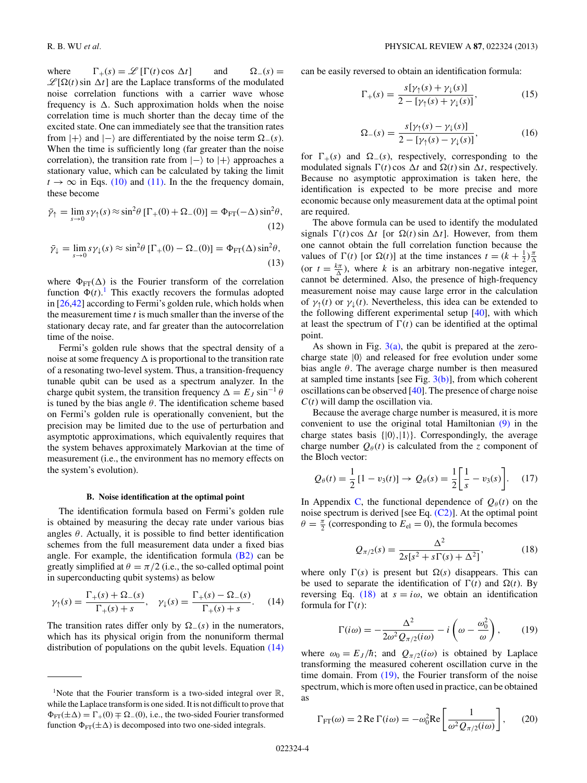<span id="page-3-0"></span>where  $\Gamma_+(s) = \mathcal{L}[\Gamma(t) \cos \Delta t]$  and  $\Omega_-(s) =$  $\mathscr{L}[\Omega(t)]$  sin  $\Delta t$ ] are the Laplace transforms of the modulated noise correlation functions with a carrier wave whose frequency is  $\Delta$ . Such approximation holds when the noise correlation time is much shorter than the decay time of the excited state. One can immediately see that the transition rates from  $|+\rangle$  and  $|-\rangle$  are differentiated by the noise term  $\Omega_{-}(s)$ . When the time is sufficiently long (far greater than the noise correlation), the transition rate from  $|-\rangle$  to  $|+\rangle$  approaches a stationary value, which can be calculated by taking the limit  $t \to \infty$  in Eqs. [\(10\)](#page-2-0) and [\(11\).](#page-2-0) In the the frequency domain, these become

$$
\bar{\gamma}_{\uparrow} = \lim_{s \to 0} s \gamma_{\uparrow}(s) \approx \sin^2 \theta \left[ \Gamma_+(0) + \Omega_-(0) \right] = \Phi_{\text{FT}}(-\Delta) \sin^2 \theta,
$$
\n(12)

$$
\bar{\gamma}_{\downarrow} = \lim_{s \to 0} s \gamma_{\downarrow}(s) \approx \sin^2 \theta \left[ \Gamma_{+}(0) - \Omega_{-}(0) \right] = \Phi_{\text{FT}}(\Delta) \sin^2 \theta,
$$
\n(13)

where  $\Phi_{FT}(\Delta)$  is the Fourier transform of the correlation function  $\Phi(t)$ .<sup>1</sup> This exactly recovers the formulas adopted in [\[26,42\]](#page-7-0) according to Fermi's golden rule, which holds when the measurement time *t* is much smaller than the inverse of the stationary decay rate, and far greater than the autocorrelation time of the noise.

Fermi's golden rule shows that the spectral density of a noise at some frequency  $\Delta$  is proportional to the transition rate of a resonating two-level system. Thus, a transition-frequency tunable qubit can be used as a spectrum analyzer. In the charge qubit system, the transition frequency  $\Delta = E_J \sin^{-1} \theta$ is tuned by the bias angle  $\theta$ . The identification scheme based on Fermi's golden rule is operationally convenient, but the precision may be limited due to the use of perturbation and asymptotic approximations, which equivalently requires that the system behaves approximately Markovian at the time of measurement (i.e., the environment has no memory effects on the system's evolution).

### **B. Noise identification at the optimal point**

The identification formula based on Fermi's golden rule is obtained by measuring the decay rate under various bias angles  $\theta$ . Actually, it is possible to find better identification schemes from the full measurement data under a fixed bias angle. For example, the identification formula  $(B2)$  can be greatly simplified at  $\theta = \pi/2$  (i.e., the so-called optimal point in superconducting qubit systems) as below

$$
\gamma_{\uparrow}(s) = \frac{\Gamma_{+}(s) + \Omega_{-}(s)}{\Gamma_{+}(s) + s}, \quad \gamma_{\downarrow}(s) = \frac{\Gamma_{+}(s) - \Omega_{-}(s)}{\Gamma_{+}(s) + s}.
$$
 (14)

The transition rates differ only by  $\Omega$ <sub>-</sub>(*s*) in the numerators, which has its physical origin from the nonuniform thermal distribution of populations on the qubit levels. Equation  $(14)$  can be easily reversed to obtain an identification formula:

$$
\Gamma_{+}(s) = \frac{s[\gamma_{\uparrow}(s) + \gamma_{\downarrow}(s)]}{2 - [\gamma_{\uparrow}(s) + \gamma_{\downarrow}(s)]},
$$
\n(15)

$$
\Omega_{-}(s) = \frac{s[\gamma_{\uparrow}(s) - \gamma_{\downarrow}(s)]}{2 - [\gamma_{\uparrow}(s) - \gamma_{\downarrow}(s)]},
$$
(16)

for  $\Gamma_{+}(s)$  and  $\Omega_{-}(s)$ , respectively, corresponding to the modulated signals  $\Gamma(t)$  cos  $\Delta t$  and  $\Omega(t)$  sin  $\Delta t$ , respectively. Because no asymptotic approximation is taken here, the identification is expected to be more precise and more economic because only measurement data at the optimal point are required.

The above formula can be used to identify the modulated signals  $\Gamma(t)$  cos  $\Delta t$  [or  $\Omega(t)$  sin  $\Delta t$ ]. However, from them one cannot obtain the full correlation function because the values of  $\Gamma(t)$  [or  $\Omega(t)$ ] at the time instances  $t = (k + \frac{1}{2})\frac{\pi}{\Delta}$ (or  $t = \frac{k\pi}{\Delta}$ ), where *k* is an arbitrary non-negative integer, cannot be determined. Also, the presence of high-frequency measurement noise may cause large error in the calculation of  $\gamma_1(t)$  or  $\gamma_1(t)$ . Nevertheless, this idea can be extended to the following different experimental setup [\[40\]](#page-7-0), with which at least the spectrum of  $\Gamma(t)$  can be identified at the optimal point.

As shown in Fig.  $3(a)$ , the qubit is prepared at the zerocharge state  $|0\rangle$  and released for free evolution under some bias angle *θ*. The average charge number is then measured at sampled time instants [see Fig.  $3(b)$ ], from which coherent oscillations can be observed [\[40\]](#page-7-0). The presence of charge noise *C*(*t*) will damp the oscillation via.

Because the average charge number is measured, it is more convenient to use the original total Hamiltonian [\(9\)](#page-2-0) in the charge states basis  $\{|0\rangle, |1\rangle\}$ . Correspondingly, the average charge number  $O_{\theta}(t)$  is calculated from the *z* component of the Bloch vector:

$$
Q_{\theta}(t) = \frac{1}{2} [1 - v_3(t)] \to Q_{\theta}(s) = \frac{1}{2} \left[ \frac{1}{s} - v_3(s) \right].
$$
 (17)

In Appendix [C,](#page-6-0) the functional dependence of  $Q_{\theta}(t)$  on the noise spectrum is derived [see Eq.  $(C2)$ ]. At the optimal point  $\theta = \frac{\pi}{2}$  (corresponding to  $E_{el} = 0$ ), the formula becomes

$$
Q_{\pi/2}(s) = \frac{\Delta^2}{2s[s^2 + s\Gamma(s) + \Delta^2]},
$$
\n(18)

where only  $\Gamma(s)$  is present but  $\Omega(s)$  disappears. This can be used to separate the identification of  $\Gamma(t)$  and  $\Omega(t)$ . By reversing Eq. (18) at  $s = i\omega$ , we obtain an identification formula for  $\Gamma(t)$ :

$$
\Gamma(i\omega) = -\frac{\Delta^2}{2\omega^2 Q_{\pi/2}(i\omega)} - i\left(\omega - \frac{\omega_0^2}{\omega}\right),\qquad(19)
$$

where  $\omega_0 = E_J/\hbar$ ; and  $Q_{\pi/2}(i\omega)$  is obtained by Laplace transforming the measured coherent oscillation curve in the time domain. From (19), the Fourier transform of the noise spectrum, which is more often used in practice, can be obtained as

$$
\Gamma_{\text{FT}}(\omega) = 2 \operatorname{Re} \Gamma(i\omega) = -\omega_0^2 \operatorname{Re} \left[ \frac{1}{\omega^2 Q_{\pi/2}(i\omega)} \right],\qquad(20)
$$

<sup>&</sup>lt;sup>1</sup>Note that the Fourier transform is a two-sided integral over  $\mathbb{R}$ , while the Laplace transform is one sided. It is not difficult to prove that  $\Phi_{\text{FT}}(\pm\Delta) = \Gamma_+(0) \mp \Omega_-(0)$ , i.e., the two-sided Fourier transformed function  $\Phi_{FT}(\pm\Delta)$  is decomposed into two one-sided integrals.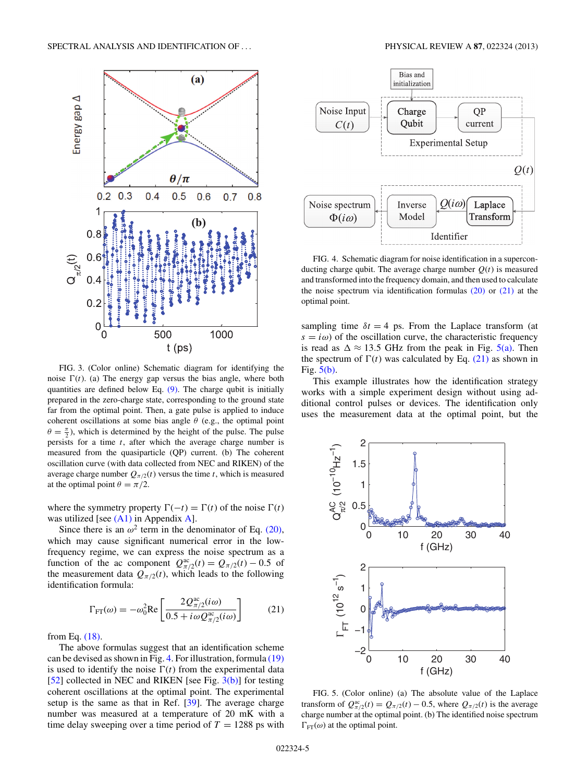<span id="page-4-0"></span>

FIG. 3. (Color online) Schematic diagram for identifying the noise  $\Gamma(t)$ . (a) The energy gap versus the bias angle, where both quantities are defined below Eq.  $(9)$ . The charge qubit is initially prepared in the zero-charge state, corresponding to the ground state far from the optimal point. Then, a gate pulse is applied to induce coherent oscillations at some bias angle  $\theta$  (e.g., the optimal point  $\theta = \frac{\pi}{2}$ ), which is determined by the height of the pulse. The pulse persists for a time *t*, after which the average charge number is measured from the quasiparticle (QP) current. (b) The coherent oscillation curve (with data collected from NEC and RIKEN) of the average charge number  $Q_{\pi/2}(t)$  versus the time *t*, which is measured at the optimal point  $\theta = \pi/2$ .

where the symmetry property  $\Gamma(-t) = \Gamma(t)$  of the noise  $\Gamma(t)$ was utilized [see  $(A1)$  in Appendix [A\]](#page-5-0).

Since there is an  $\omega^2$  term in the denominator of Eq. [\(20\),](#page-3-0) which may cause significant numerical error in the lowfrequency regime, we can express the noise spectrum as a function of the ac component  $Q_{\pi/2}^{ac}(t) = Q_{\pi/2}(t) - 0.5$  of the measurement data  $Q_{\pi/2}(t)$ , which leads to the following identification formula:

$$
\Gamma_{\text{FT}}(\omega) = -\omega_0^2 \text{Re}\left[\frac{2Q_{\pi/2}^{\text{ac}}(i\omega)}{0.5 + i\omega Q_{\pi/2}^{\text{ac}}(i\omega)}\right]
$$
(21)

from Eq. [\(18\).](#page-3-0)

The above formulas suggest that an identification scheme can be devised as shown in Fig. 4. For illustration, formula [\(19\)](#page-3-0) is used to identify the noise  $\Gamma(t)$  from the experimental data [\[52\]](#page-7-0) collected in NEC and RIKEN [see Fig. 3(b)] for testing coherent oscillations at the optimal point. The experimental setup is the same as that in Ref. [\[39\]](#page-7-0). The average charge number was measured at a temperature of 20 mK with a time delay sweeping over a time period of  $T = 1288$  ps with



FIG. 4. Schematic diagram for noise identification in a superconducting charge qubit. The average charge number  $Q(t)$  is measured and transformed into the frequency domain, and then used to calculate the noise spectrum via identification formulas  $(20)$  or  $(21)$  at the optimal point.

sampling time  $\delta t = 4$  ps. From the Laplace transform (at  $s = i\omega$ ) of the oscillation curve, the characteristic frequency is read as  $\Delta \approx 13.5$  GHz from the peak in Fig. 5(a). Then the spectrum of  $\Gamma(t)$  was calculated by Eq. (21) as shown in Fig. 5(b).

This example illustrates how the identification strategy works with a simple experiment design without using additional control pulses or devices. The identification only uses the measurement data at the optimal point, but the



FIG. 5. (Color online) (a) The absolute value of the Laplace transform of  $Q_{\pi/2}^{\text{ac}}(t) = Q_{\pi/2}(t) - 0.5$ , where  $Q_{\pi/2}(t)$  is the average charge number at the optimal point. (b) The identified noise spectrum  $\Gamma_{\text{FT}}(\omega)$  at the optimal point.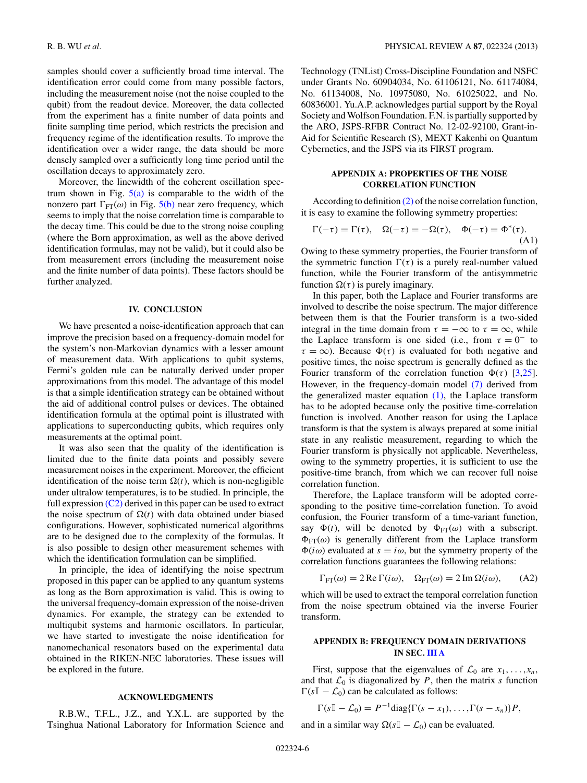<span id="page-5-0"></span>samples should cover a sufficiently broad time interval. The identification error could come from many possible factors, including the measurement noise (not the noise coupled to the qubit) from the readout device. Moreover, the data collected from the experiment has a finite number of data points and finite sampling time period, which restricts the precision and frequency regime of the identification results. To improve the identification over a wider range, the data should be more densely sampled over a sufficiently long time period until the oscillation decays to approximately zero.

Moreover, the linewidth of the coherent oscillation spectrum shown in Fig.  $5(a)$  is comparable to the width of the nonzero part  $\Gamma_{\text{FT}}(\omega)$  in Fig. [5\(b\)](#page-4-0) near zero frequency, which seems to imply that the noise correlation time is comparable to the decay time. This could be due to the strong noise coupling (where the Born approximation, as well as the above derived identification formulas, may not be valid), but it could also be from measurement errors (including the measurement noise and the finite number of data points). These factors should be further analyzed.

#### **IV. CONCLUSION**

We have presented a noise-identification approach that can improve the precision based on a frequency-domain model for the system's non-Markovian dynamics with a lesser amount of measurement data. With applications to qubit systems, Fermi's golden rule can be naturally derived under proper approximations from this model. The advantage of this model is that a simple identification strategy can be obtained without the aid of additional control pulses or devices. The obtained identification formula at the optimal point is illustrated with applications to superconducting qubits, which requires only measurements at the optimal point.

It was also seen that the quality of the identification is limited due to the finite data points and possibly severe measurement noises in the experiment. Moreover, the efficient identification of the noise term  $\Omega(t)$ , which is non-negligible under ultralow temperatures, is to be studied. In principle, the full expression  $(C2)$  derived in this paper can be used to extract the noise spectrum of  $\Omega(t)$  with data obtained under biased configurations. However, sophisticated numerical algorithms are to be designed due to the complexity of the formulas. It is also possible to design other measurement schemes with which the identification formulation can be simplified.

In principle, the idea of identifying the noise spectrum proposed in this paper can be applied to any quantum systems as long as the Born approximation is valid. This is owing to the universal frequency-domain expression of the noise-driven dynamics. For example, the strategy can be extended to multiqubit systems and harmonic oscillators. In particular, we have started to investigate the noise identification for nanomechanical resonators based on the experimental data obtained in the RIKEN-NEC laboratories. These issues will be explored in the future.

# **ACKNOWLEDGMENTS**

R.B.W., T.F.L., J.Z., and Y.X.L. are supported by the Tsinghua National Laboratory for Information Science and Technology (TNList) Cross-Discipline Foundation and NSFC under Grants No. 60904034, No. 61106121, No. 61174084, No. 61134008, No. 10975080, No. 61025022, and No. 60836001. Yu.A.P. acknowledges partial support by the Royal Society and Wolfson Foundation. F.N. is partially supported by the ARO, JSPS-RFBR Contract No. 12-02-92100, Grant-in-Aid for Scientific Research (S), MEXT Kakenhi on Quantum Cybernetics, and the JSPS via its FIRST program.

# **APPENDIX A: PROPERTIES OF THE NOISE CORRELATION FUNCTION**

According to definition [\(2\)](#page-1-0) of the noise correlation function, it is easy to examine the following symmetry properties:

$$
\Gamma(-\tau) = \Gamma(\tau), \quad \Omega(-\tau) = -\Omega(\tau), \quad \Phi(-\tau) = \Phi^*(\tau).
$$
\n(A1)

Owing to these symmetry properties, the Fourier transform of the symmetric function  $\Gamma(\tau)$  is a purely real-number valued function, while the Fourier transform of the antisymmetric function  $Ω(τ)$  is purely imaginary.

In this paper, both the Laplace and Fourier transforms are involved to describe the noise spectrum. The major difference between them is that the Fourier transform is a two-sided integral in the time domain from  $\tau = -\infty$  to  $\tau = \infty$ , while the Laplace transform is one sided (i.e., from  $\tau = 0^-$  to  $\tau = \infty$ ). Because  $\Phi(\tau)$  is evaluated for both negative and positive times, the noise spectrum is generally defined as the Fourier transform of the correlation function  $\Phi(\tau)$  [\[3](#page-6-0)[,25\]](#page-7-0). However, in the frequency-domain model [\(7\)](#page-2-0) derived from the generalized master equation  $(1)$ , the Laplace transform has to be adopted because only the positive time-correlation function is involved. Another reason for using the Laplace transform is that the system is always prepared at some initial state in any realistic measurement, regarding to which the Fourier transform is physically not applicable. Nevertheless, owing to the symmetry properties, it is sufficient to use the positive-time branch, from which we can recover full noise correlation function.

Therefore, the Laplace transform will be adopted corresponding to the positive time-correlation function. To avoid confusion, the Fourier transform of a time-variant function, say  $\Phi(t)$ , will be denoted by  $\Phi_{FT}(\omega)$  with a subscript.  $\Phi_{\text{FT}}(\omega)$  is generally different from the Laplace transform  $\Phi(i\omega)$  evaluated at  $s = i\omega$ , but the symmetry property of the correlation functions guarantees the following relations:

$$
\Gamma_{\text{FT}}(\omega) = 2 \operatorname{Re} \Gamma(i\omega), \quad \Omega_{\text{FT}}(\omega) = 2 \operatorname{Im} \Omega(i\omega), \quad (A2)
$$

which will be used to extract the temporal correlation function from the noise spectrum obtained via the inverse Fourier transform.

## **APPENDIX B: FREQUENCY DOMAIN DERIVATIONS IN SEC. [III A](#page-2-0)**

First, suppose that the eigenvalues of  $\mathcal{L}_0$  are  $x_1, \ldots, x_n$ , and that  $\mathcal{L}_0$  is diagonalized by *P*, then the matrix *s* function  $\Gamma(sI - \mathcal{L}_0)$  can be calculated as follows:

$$
\Gamma(s\mathbb{I}-\mathcal{L}_0)=P^{-1}\mathrm{diag}\{\Gamma(s-x_1),\ldots,\Gamma(s-x_n)\}P,
$$

and in a similar way  $\Omega(s\mathbb{I} - \mathcal{L}_0)$  can be evaluated.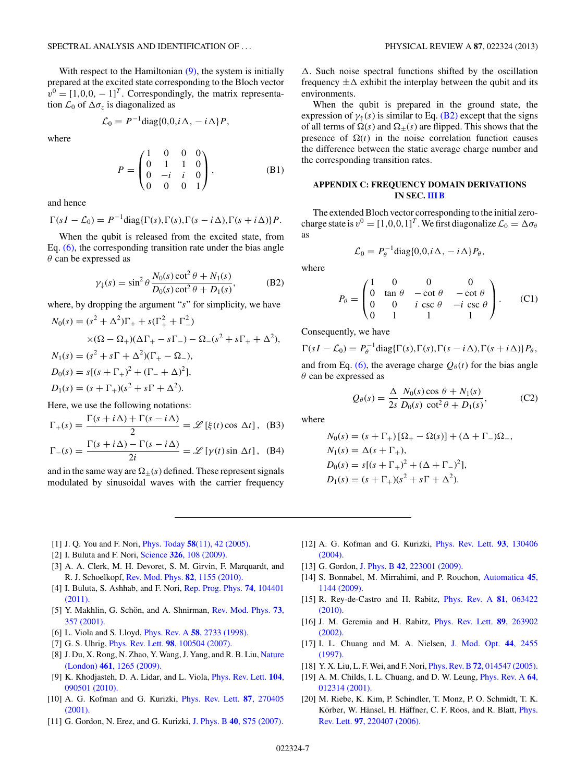<span id="page-6-0"></span>With respect to the Hamiltonian  $(9)$ , the system is initially prepared at the excited state corresponding to the Bloch vector  $v^0 = [1,0,0, -1]^T$ . Correspondingly, the matrix representation  $\mathcal{L}_0$  of  $\Delta \sigma_z$  is diagonalized as

$$
\mathcal{L}_0 = P^{-1} \text{diag}\{0, 0, i\Delta, -i\Delta\} P,
$$

where

$$
P = \begin{pmatrix} 1 & 0 & 0 & 0 \\ 0 & 1 & 1 & 0 \\ 0 & -i & i & 0 \\ 0 & 0 & 0 & 1 \end{pmatrix},
$$
 (B1)

and hence

$$
\Gamma(sI-\mathcal{L}_0)=P^{-1}\text{diag}\{\Gamma(s),\Gamma(s),\Gamma(s-i\Delta),\Gamma(s+i\Delta)\}P.
$$

When the qubit is released from the excited state, from Eq. [\(6\),](#page-2-0) the corresponding transition rate under the bias angle *θ* can be expressed as

$$
\gamma_{\downarrow}(s) = \sin^2 \theta \frac{N_0(s) \cot^2 \theta + N_1(s)}{D_0(s) \cot^2 \theta + D_1(s)},
$$
(B2)

where, by dropping the argument "*s*" for simplicity, we have

$$
N_0(s) = (s^2 + \Delta^2)\Gamma_+ + s(\Gamma_+^2 + \Gamma_-^2)
$$
  
\n
$$
\times (\Omega - \Omega_+)(\Delta\Gamma_+ - s\Gamma_-) - \Omega_-(s^2 + s\Gamma_+ + \Delta^2),
$$
  
\n
$$
N_1(s) = (s^2 + s\Gamma + \Delta^2)(\Gamma_+ - \Omega_-),
$$
  
\n
$$
D_0(s) = s[(s + \Gamma_+)^2 + (\Gamma_- + \Delta)^2],
$$
  
\n
$$
D_1(s) = (s + \Gamma_+)(s^2 + s\Gamma + \Delta^2).
$$

Here, we use the following notations:

$$
\Gamma_{+}(s) = \frac{\Gamma(s + i\Delta) + \Gamma(s - i\Delta)}{2} = \mathscr{L}\left[\xi(t)\cos \Delta t\right], \quad (B3)
$$

$$
\Gamma_{-}(s) = \frac{\Gamma(s + i\Delta) - \Gamma(s - i\Delta)}{2i} = \mathscr{L}[\gamma(t)\sin \Delta t], \quad (B4)
$$

and in the same way are  $\Omega_{+}(s)$  defined. These represent signals modulated by sinusoidal waves with the carrier frequency

 $\Delta$ . Such noise spectral functions shifted by the oscillation frequency  $\pm \Delta$  exhibit the interplay between the qubit and its environments.

When the qubit is prepared in the ground state, the expression of  $\gamma_1(s)$  is similar to Eq. (B2) except that the signs of all terms of  $\Omega(s)$  and  $\Omega_{\pm}(s)$  are flipped. This shows that the presence of  $\Omega(t)$  in the noise correlation function causes the difference between the static average charge number and the corresponding transition rates.

### **APPENDIX C: FREQUENCY DOMAIN DERIVATIONS IN SEC. [III B](#page-3-0)**

The extended Bloch vector corresponding to the initial zerocharge state is  $v^0 = [1, 0, 0, 1]^T$ . We first diagonalize  $\mathcal{L}_0 = \Delta \sigma_\theta$ as

$$
\mathcal{L}_0 = P_\theta^{-1} \text{diag}\{0, 0, i\Delta, -i\Delta\} P_\theta,
$$

where

$$
P_{\theta} = \begin{pmatrix} 1 & 0 & 0 & 0 \\ 0 & \tan \theta & -\cot \theta & -\cot \theta \\ 0 & 0 & i \csc \theta & -i \csc \theta \\ 0 & 1 & 1 & 1 \end{pmatrix}.
$$
 (C1)

Consequently, we have

$$
\Gamma(sI - \mathcal{L}_0) = P_\theta^{-1} \text{diag}\{\Gamma(s), \Gamma(s), \Gamma(s - i\Delta), \Gamma(s + i\Delta)\} P_\theta,
$$

and from Eq. [\(6\),](#page-2-0) the average charge  $Q_{\theta}(t)$  for the bias angle *θ* can be expressed as

$$
Q_{\theta}(s) = \frac{\Delta}{2s} \frac{N_0(s) \cos \theta + N_1(s)}{D_0(s) \cot^2 \theta + D_1(s)},
$$
 (C2)

where

$$
N_0(s) = (s + \Gamma_+) [\Omega_+ - \Omega(s)] + (\Delta + \Gamma_-) \Omega_-,
$$
  
\n
$$
N_1(s) = \Delta(s + \Gamma_+),
$$
  
\n
$$
D_0(s) = s[(s + \Gamma_+)^2 + (\Delta + \Gamma_-)^2],
$$
  
\n
$$
D_1(s) = (s + \Gamma_+)(s^2 + s\Gamma + \Delta^2).
$$

- [1] J. Q. You and F. Nori, Phys. Today **58**[\(11\), 42 \(2005\).](http://dx.doi.org/10.1063/1.2155757)
- [2] I. Buluta and F. Nori, Science **326**[, 108 \(2009\).](http://dx.doi.org/10.1126/science.1177838)
- [3] A. A. Clerk, M. H. Devoret, S. M. Girvin, F. Marquardt, and R. J. Schoelkopf, [Rev. Mod. Phys.](http://dx.doi.org/10.1103/RevModPhys.82.1155) **82**, 1155 (2010).
- [4] I. Buluta, S. Ashhab, and F. Nori, [Rep. Prog. Phys.](http://dx.doi.org/10.1088/0034-4885/74/10/104401) **74**, 104401 [\(2011\).](http://dx.doi.org/10.1088/0034-4885/74/10/104401)
- [5] Y. Makhlin, G. Schön, and A. Shnirman, [Rev. Mod. Phys.](http://dx.doi.org/10.1103/RevModPhys.73.357) **73**, [357 \(2001\).](http://dx.doi.org/10.1103/RevModPhys.73.357)
- [6] L. Viola and S. Lloyd, Phys. Rev. A **58**[, 2733 \(1998\).](http://dx.doi.org/10.1103/PhysRevA.58.2733)
- [7] G. S. Uhrig, Phys. Rev. Lett. **98**[, 100504 \(2007\).](http://dx.doi.org/10.1103/PhysRevLett.98.100504)
- [8] J. Du, X. Rong, N. Zhao, Y. Wang, J. Yang, and R. B. Liu, [Nature](http://dx.doi.org/10.1038/nature08470) (London) **461**[, 1265 \(2009\).](http://dx.doi.org/10.1038/nature08470)
- [9] K. Khodjasteh, D. A. Lidar, and L. Viola, [Phys. Rev. Lett.](http://dx.doi.org/10.1103/PhysRevLett.104.090501) **104**, [090501 \(2010\).](http://dx.doi.org/10.1103/PhysRevLett.104.090501)
- [10] A. G. Kofman and G. Kurizki, [Phys. Rev. Lett.](http://dx.doi.org/10.1103/PhysRevLett.87.270405) **87**, 270405 [\(2001\).](http://dx.doi.org/10.1103/PhysRevLett.87.270405)
- [11] G. Gordon, N. Erez, and G. Kurizki, J. Phys. B **40**[, S75 \(2007\).](http://dx.doi.org/10.1088/0953-4075/40/9/S04)
- [12] A. G. Kofman and G. Kurizki, [Phys. Rev. Lett.](http://dx.doi.org/10.1103/PhysRevLett.93.130406) **93**, 130406 [\(2004\).](http://dx.doi.org/10.1103/PhysRevLett.93.130406)
- [13] G. Gordon, J. Phys. B **42**[, 223001 \(2009\).](http://dx.doi.org/10.1088/0953-4075/42/22/223001)
- [14] S. Bonnabel, M. Mirrahimi, and P. Rouchon, [Automatica](http://dx.doi.org/10.1016/j.automatica.2008.12.007) **45**, [1144 \(2009\).](http://dx.doi.org/10.1016/j.automatica.2008.12.007)
- [15] R. Rey-de-Castro and H. Rabitz, [Phys. Rev. A](http://dx.doi.org/10.1103/PhysRevA.81.063422) **81**, 063422 [\(2010\).](http://dx.doi.org/10.1103/PhysRevA.81.063422)
- [16] J. M. Geremia and H. Rabitz, [Phys. Rev. Lett.](http://dx.doi.org/10.1103/PhysRevLett.89.263902) **89**, 263902 [\(2002\).](http://dx.doi.org/10.1103/PhysRevLett.89.263902)
- [17] I. L. Chuang and M. A. Nielsen, [J. Mod. Opt.](http://dx.doi.org/10.1080/09500349708231894) **44**, 2455 [\(1997\).](http://dx.doi.org/10.1080/09500349708231894)
- [18] Y. X. Liu, L. F. Wei, and F. Nori, Phys. Rev. B **72**[, 014547 \(2005\).](http://dx.doi.org/10.1103/PhysRevB.72.014547)
- [19] A. M. Childs, I. L. Chuang, and D. W. Leung, [Phys. Rev. A](http://dx.doi.org/10.1103/PhysRevA.64.012314) **64**, [012314 \(2001\).](http://dx.doi.org/10.1103/PhysRevA.64.012314)
- [20] M. Riebe, K. Kim, P. Schindler, T. Monz, P. O. Schmidt, T. K. Körber, W. Hänsel, H. Häffner, C. F. Roos, and R. Blatt, *[Phys.](http://dx.doi.org/10.1103/PhysRevLett.97.220407)* Rev. Lett. **97**[, 220407 \(2006\).](http://dx.doi.org/10.1103/PhysRevLett.97.220407)